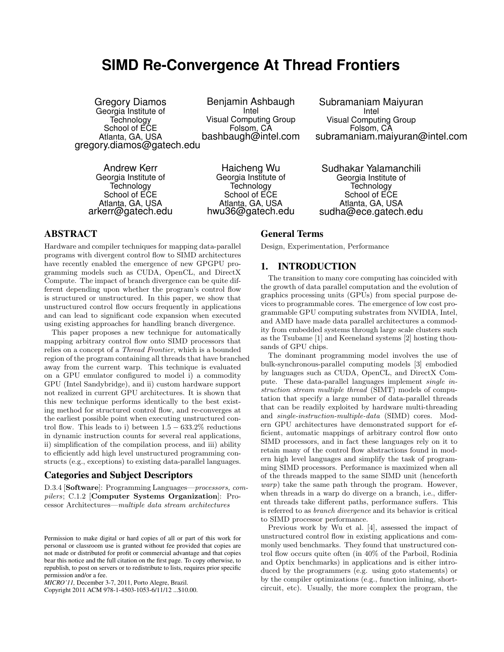# **SIMD Re-Convergence At Thread Frontiers**

Gregory Diamos Georgia Institute of **Technology** School of ECE Atlanta, GA, USA gregory.diamos@gatech.edu

> Andrew Kerr Georgia Institute of **Technology** School of ECE Atlanta, GA, USA arkerr@gatech.edu

Benjamin Ashbaugh Intel Visual Computing Group Folsom, CA bashbaugh@intel.com

Haicheng Wu Georgia Institute of **Technology** School of ECE Atlanta, GA, USA hwu36@gatech.edu

Subramaniam Maiyuran Intel Visual Computing Group Folsom, CA subramaniam.maiyuran@intel.com

Sudhakar Yalamanchili Georgia Institute of **Technology** School of ECE Atlanta, GA, USA sudha@ece.gatech.edu

# ABSTRACT

Hardware and compiler techniques for mapping data-parallel programs with divergent control flow to SIMD architectures have recently enabled the emergence of new GPGPU programming models such as CUDA, OpenCL, and DirectX Compute. The impact of branch divergence can be quite different depending upon whether the program's control flow is structured or unstructured. In this paper, we show that unstructured control flow occurs frequently in applications and can lead to significant code expansion when executed using existing approaches for handling branch divergence.

This paper proposes a new technique for automatically mapping arbitrary control flow onto SIMD processors that relies on a concept of a Thread Frontier, which is a bounded region of the program containing all threads that have branched away from the current warp. This technique is evaluated on a GPU emulator configured to model i) a commodity GPU (Intel Sandybridge), and ii) custom hardware support not realized in current GPU architectures. It is shown that this new technique performs identically to the best existing method for structured control flow, and re-converges at the earliest possible point when executing unstructured control flow. This leads to i) between  $1.5 - 633.2\%$  reductions in dynamic instruction counts for several real applications, ii) simplification of the compilation process, and iii) ability to efficiently add high level unstructured programming constructs (e.g., exceptions) to existing data-parallel languages.

# Categories and Subject Descriptors

D.3.4 [Software]: Programming Languages—processors, compilers; C.1.2 [Computer Systems Organization]: Processor Architectures—multiple data stream architectures

Copyright 2011 ACM 978-1-4503-1053-6/11/12 ...\$10.00.

## General Terms

Design, Experimentation, Performance

## 1. INTRODUCTION

The transition to many core computing has coincided with the growth of data parallel computation and the evolution of graphics processing units (GPUs) from special purpose devices to programmable cores. The emergence of low cost programmable GPU computing substrates from NVIDIA, Intel, and AMD have made data parallel architectures a commodity from embedded systems through large scale clusters such as the Tsubame [1] and Keeneland systems [2] hosting thousands of GPU chips.

The dominant programming model involves the use of bulk-synchronous-parallel computing models [3] embodied by languages such as CUDA, OpenCL, and DirectX Compute. These data-parallel languages implement single instruction stream multiple thread (SIMT) models of computation that specify a large number of data-parallel threads that can be readily exploited by hardware multi-threading and single-instruction-multiple-data (SIMD) cores. Modern GPU architectures have demonstrated support for efficient, automatic mappings of arbitrary control flow onto SIMD processors, and in fact these languages rely on it to retain many of the control flow abstractions found in modern high level languages and simplify the task of programming SIMD processors. Performance is maximized when all of the threads mapped to the same SIMD unit (henceforth warp) take the same path through the program. However, when threads in a warp do diverge on a branch, i.e., different threads take different paths, performance suffers. This is referred to as branch divergence and its behavior is critical to SIMD processor performance.

Previous work by Wu et al. [4], assessed the impact of unstructured control flow in existing applications and commonly used benchmarks. They found that unstructured control flow occurs quite often (in 40% of the Parboil, Rodinia and Optix benchmarks) in applications and is either introduced by the programmers (e.g. using goto statements) or by the compiler optimizations (e.g., function inlining, shortcircuit, etc). Usually, the more complex the program, the

Permission to make digital or hard copies of all or part of this work for personal or classroom use is granted without fee provided that copies are not made or distributed for profit or commercial advantage and that copies bear this notice and the full citation on the first page. To copy otherwise, to republish, to post on servers or to redistribute to lists, requires prior specific permission and/or a fee.

*MICRO'11,* December 3-7, 2011, Porto Alegre, Brazil.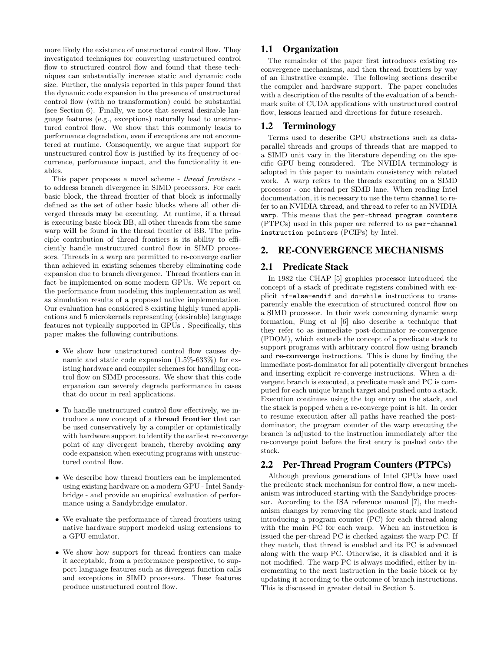more likely the existence of unstructured control flow. They investigated techniques for converting unstructured control flow to structured control flow and found that these techniques can substantially increase static and dynamic code size. Further, the analysis reported in this paper found that the dynamic code expansion in the presence of unstructured control flow (with no transformation) could be substantial (see Section 6). Finally, we note that several desirable language features (e.g., exceptions) naturally lead to unstructured control flow. We show that this commonly leads to performance degradation, even if exceptions are not encountered at runtime. Consequently, we argue that support for unstructured control flow is justified by its frequency of occurrence, performance impact, and the functionality it enables.

This paper proposes a novel scheme - thread frontiers to address branch divergence in SIMD processors. For each basic block, the thread frontier of that block is informally defined as the set of other basic blocks where all other diverged threads may be executing. At runtime, if a thread is executing basic block BB, all other threads from the same warp will be found in the thread frontier of BB. The principle contribution of thread frontiers is its ability to efficiently handle unstructured control flow in SIMD processors. Threads in a warp are permitted to re-converge earlier than achieved in existing schemes thereby eliminating code expansion due to branch divergence. Thread frontiers can in fact be implemented on some modern GPUs. We report on the performance from modeling this implementation as well as simulation results of a proposed native implementation. Our evaluation has considered 8 existing highly tuned applications and 5 microkernels representing (desirable) language features not typically supported in GPUs . Specifically, this paper makes the following contributions.

- We show how unstructured control flow causes dynamic and static code expansion (1.5%-633%) for existing hardware and compiler schemes for handling control flow on SIMD processors. We show that this code expansion can severely degrade performance in cases that do occur in real applications.
- To handle unstructured control flow effectively, we introduce a new concept of a thread frontier that can be used conservatively by a compiler or optimistically with hardware support to identify the earliest re-converge point of any divergent branch, thereby avoiding any code expansion when executing programs with unstructured control flow.
- We describe how thread frontiers can be implemented using existing hardware on a modern GPU - Intel Sandybridge - and provide an empirical evaluation of performance using a Sandybridge emulator.
- We evaluate the performance of thread frontiers using native hardware support modeled using extensions to a GPU emulator.
- We show how support for thread frontiers can make it acceptable, from a performance perspective, to support language features such as divergent function calls and exceptions in SIMD processors. These features produce unstructured control flow.

# 1.1 Organization

The remainder of the paper first introduces existing reconvergence mechanisms, and then thread frontiers by way of an illustrative example. The following sections describe the compiler and hardware support. The paper concludes with a description of the results of the evaluation of a benchmark suite of CUDA applications with unstructured control flow, lessons learned and directions for future research.

# 1.2 Terminology

Terms used to describe GPU abstractions such as dataparallel threads and groups of threads that are mapped to a SIMD unit vary in the literature depending on the specific GPU being considered. The NVIDIA terminology is adopted in this paper to maintain consistency with related work. A warp refers to the threads executing on a SIMD processor - one thread per SIMD lane. When reading Intel documentation, it is necessary to use the term channel to refer to an NVIDIA thread, and thread to refer to an NVIDIA warp. This means that the per-thread program counters (PTPCs) used in this paper are referred to as per-channel instruction pointers (PCIPs) by Intel.

# 2. RE-CONVERGENCE MECHANISMS

# 2.1 Predicate Stack

In 1982 the CHAP [5] graphics processor introduced the concept of a stack of predicate registers combined with explicit if-else-endif and do-while instructions to transparently enable the execution of structured control flow on a SIMD processor. In their work concerning dynamic warp formation, Fung et al [6] also describe a technique that they refer to as immediate post-dominator re-convergence (PDOM), which extends the concept of a predicate stack to support programs with arbitrary control flow using **branch** and re-converge instructions. This is done by finding the immediate post-dominator for all potentially divergent branches and inserting explicit re-converge instructions. When a divergent branch is executed, a predicate mask and PC is computed for each unique branch target and pushed onto a stack. Execution continues using the top entry on the stack, and the stack is popped when a re-converge point is hit. In order to resume execution after all paths have reached the postdominator, the program counter of the warp executing the branch is adjusted to the instruction immediately after the re-converge point before the first entry is pushed onto the stack.

# 2.2 Per-Thread Program Counters (PTPCs)

Although previous generations of Intel GPUs have used the predicate stack mechanism for control flow, a new mechanism was introduced starting with the Sandybridge processor. According to the ISA reference manual [7], the mechanism changes by removing the predicate stack and instead introducing a program counter (PC) for each thread along with the main PC for each warp. When an instruction is issued the per-thread PC is checked against the warp PC. If they match, that thread is enabled and its PC is advanced along with the warp PC. Otherwise, it is disabled and it is not modified. The warp PC is always modified, either by incrementing to the next instruction in the basic block or by updating it according to the outcome of branch instructions. This is discussed in greater detail in Section 5.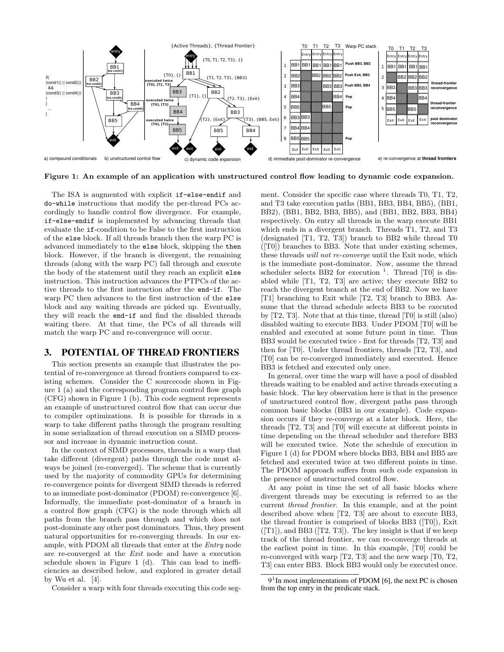

Figure 1: An example of an application with unstructured control flow leading to dynamic code expansion.

The ISA is augmented with explicit if-else-endif and do-while instructions that modify the per-thread PCs accordingly to handle control flow divergence. For example, if-else-endif is implemented by advancing threads that evaluate the if-condition to be False to the first instruction of the else block. If all threads branch then the warp PC is advanced immediately to the else block, skipping the then block. However, if the branch is divergent, the remaining threads (along with the warp PC) fall through and execute the body of the statement until they reach an explicit else instruction. This instruction advances the PTPCs of the active threads to the first instruction after the end-if. The warp PC then advances to the first instruction of the else block and any waiting threads are picked up. Eventually, they will reach the end-if and find the disabled threads waiting there. At that time, the PCs of all threads will match the warp PC and re-convergence will occur.

# 3. POTENTIAL OF THREAD FRONTIERS

This section presents an example that illustrates the potential of re-convergence at thread frontiers compared to existing schemes. Consider the C sourcecode shown in Figure 1 (a) and the corresponding program control flow graph (CFG) shown in Figure 1 (b). This code segment represents an example of unstructured control flow that can occur due to compiler optimizations. It is possible for threads in a warp to take different paths through the program resulting in some serialization of thread execution on a SIMD processor and increase in dynamic instruction count.

In the context of SIMD processors, threads in a warp that take different (divergent) paths through the code must always be joined (re-converged). The scheme that is currently used by the majority of commodity GPUs for determining re-convergence points for divergent SIMD threads is referred to as immediate post-dominator (PDOM) re-convergence [6]. Informally, the immediate post-dominator of a branch in a control flow graph (CFG) is the node through which all paths from the branch pass through and which does not post-dominate any other post dominators. Thus, they present natural opportunities for re-converging threads. In our example, with PDOM all threads that enter at the Entry node are re-converged at the Exit node and have a execution schedule shown in Figure 1 (d). This can lead to inefficiencies as described below, and explored in greater detail by Wu et al.  $[4]$ .

Consider a warp with four threads executing this code seg-

ment. Consider the specific case where threads T0, T1, T2, and T3 take execution paths (BB1, BB3, BB4, BB5), (BB1, BB2), (BB1, BB2, BB3, BB5), and (BB1, BB2, BB3, BB4) respectively. On entry all threads in the warp execute BB1 which ends in a divergent branch. Threads T1, T2, and T3 (designated [T1, T2, T3]) branch to BB2 while thread T0 ([T0]) branches to BB3. Note that under existing schemes, these threads will not re-converge until the Exit node, which is the immediate post-dominator. Now, assume the thread scheduler selects BB2 for execution  $\overline{1}$ . Thread [T0] is disabled while [T1, T2, T3] are active; they execute BB2 to reach the divergent branch at the end of BB2. Now we have [T1] branching to Exit while [T2, T3] branch to BB3. Assume that the thread schedule selects BB3 to be executed by [T2, T3]. Note that at this time, thread [T0] is still (also) disabled waiting to execute BB3. Under PDOM [T0] will be enabled and executed at some future point in time. Thus BB3 would be executed twice - first for threads [T2, T3] and then for [T0]. Under thread frontiers, threads [T2, T3], and [T0] can be re-converged immediately and executed. Hence BB3 is fetched and executed only once.

In general, over time the warp will have a pool of disabled threads waiting to be enabled and active threads executing a basic block. The key observation here is that in the presence of unstructured control flow, divergent paths pass through common basic blocks (BB3 in our example). Code expansion occurs if they re-converge at a later block. Here, the threads [T2, T3] and [T0] will execute at different points in time depending on the thread scheduler and therefore BB3 will be executed twice. Note the schedule of execution in Figure 1 (d) for PDOM where blocks BB3, BB4 and BB5 are fetched and executed twice at two different points in time. The PDOM approach suffers from such code expansion in the presence of unstructured control flow.

At any point in time the set of all basic blocks where divergent threads may be executing is referred to as the current thread frontier. In this example, and at the point described above when [T2, T3] are about to execute BB3, the thread frontier is comprised of blocks BB3 ([T0]), Exit  $([T1]),$  and BB3  $([T2, T3]).$  The key insight is that if we keep track of the thread frontier, we can re-converge threads at the earliest point in time. In this example, [T0] could be re-converged with warp [T2, T3] and the new warp [T0, T2, T3] can enter BB3. Block BB3 would only be executed once.

 $9<sup>1</sup>$  In most implementations of PDOM [6], the next PC is chosen from the top entry in the predicate stack.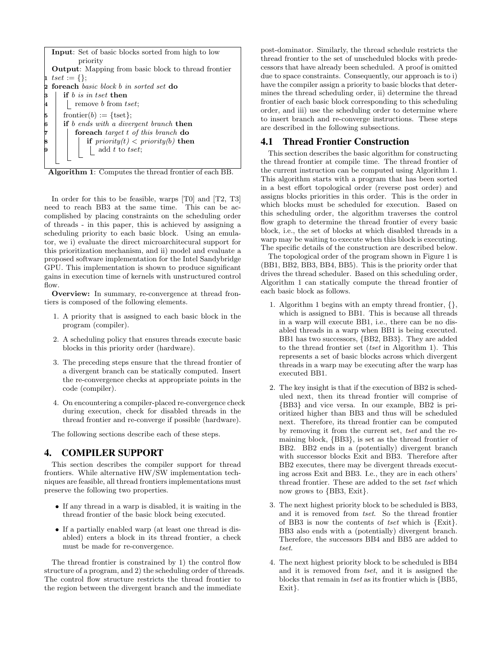

Algorithm 1: Computes the thread frontier of each BB.

In order for this to be feasible, warps [T0] and [T2, T3] need to reach BB3 at the same time. This can be accomplished by placing constraints on the scheduling order of threads - in this paper, this is achieved by assigning a scheduling priority to each basic block. Using an emulator, we i) evaluate the direct microarchitecural support for this prioritization mechanism, and ii) model and evaluate a proposed software implementation for the Intel Sandybridge GPU. This implementation is shown to produce significant gains in execution time of kernels with unstructured control flow.

Overview: In summary, re-convergence at thread frontiers is composed of the following elements.

- 1. A priority that is assigned to each basic block in the program (compiler).
- 2. A scheduling policy that ensures threads execute basic blocks in this priority order (hardware).
- 3. The preceding steps ensure that the thread frontier of a divergent branch can be statically computed. Insert the re-convergence checks at appropriate points in the code (compiler).
- 4. On encountering a compiler-placed re-convergence check during execution, check for disabled threads in the thread frontier and re-converge if possible (hardware).

The following sections describe each of these steps.

## 4. COMPILER SUPPORT

This section describes the compiler support for thread frontiers. While alternative HW/SW implementation techniques are feasible, all thread frontiers implementations must preserve the following two properties.

- If any thread in a warp is disabled, it is waiting in the thread frontier of the basic block being executed.
- If a partially enabled warp (at least one thread is disabled) enters a block in its thread frontier, a check must be made for re-convergence.

The thread frontier is constrained by 1) the control flow structure of a program, and 2) the scheduling order of threads. The control flow structure restricts the thread frontier to the region between the divergent branch and the immediate

post-dominator. Similarly, the thread schedule restricts the thread frontier to the set of unscheduled blocks with predecessors that have already been scheduled. A proof is omitted due to space constraints. Consequently, our approach is to i) have the compiler assign a priority to basic blocks that determines the thread scheduling order, ii) determine the thread frontier of each basic block corresponding to this scheduling order, and iii) use the scheduling order to determine where to insert branch and re-converge instructions. These steps are described in the following subsections.

## 4.1 Thread Frontier Construction

This section describes the basic algorithm for constructing the thread frontier at compile time. The thread frontier of the current instruction can be computed using Algorithm 1. This algorithm starts with a program that has been sorted in a best effort topological order (reverse post order) and assigns blocks priorities in this order. This is the order in which blocks must be scheduled for execution. Based on this scheduling order, the algorithm traverses the control flow graph to determine the thread frontier of every basic block, i.e., the set of blocks at which disabled threads in a warp may be waiting to execute when this block is executing. The specific details of the construction are described below.

The topological order of the program shown in Figure 1 is (BB1, BB2, BB3, BB4, BB5). This is the priority order that drives the thread scheduler. Based on this scheduling order, Algorithm 1 can statically compute the thread frontier of each basic block as follows.

- 1. Algorithm 1 begins with an empty thread frontier, {}, which is assigned to BB1. This is because all threads in a warp will execute BB1, i.e., there can be no disabled threads in a warp when BB1 is being executed. BB1 has two successors, {BB2, BB3}. They are added to the thread frontier set (tset in Algorithm 1). This represents a set of basic blocks across which divergent threads in a warp may be executing after the warp has executed BB1.
- 2. The key insight is that if the execution of BB2 is scheduled next, then its thread frontier will comprise of {BB3} and vice versa. In our example, BB2 is prioritized higher than BB3 and thus will be scheduled next. Therefore, its thread frontier can be computed by removing it from the current set, tset and the remaining block, {BB3}, is set as the thread frontier of BB2. BB2 ends in a (potentially) divergent branch with successor blocks Exit and BB3. Therefore after BB2 executes, there may be divergent threads executing across Exit and BB3. I.e., they are in each others' thread frontier. These are added to the set tset which now grows to {BB3, Exit}.
- 3. The next highest priority block to be scheduled is BB3, and it is removed from tset. So the thread frontier of BB3 is now the contents of tset which is {Exit}. BB3 also ends with a (potentially) divergent branch. Therefore, the successors BB4 and BB5 are added to tset.
- 4. The next highest priority block to be scheduled is BB4 and it is removed from tset, and it is assigned the blocks that remain in tset as its frontier which is  ${BB5}$ , Exit }.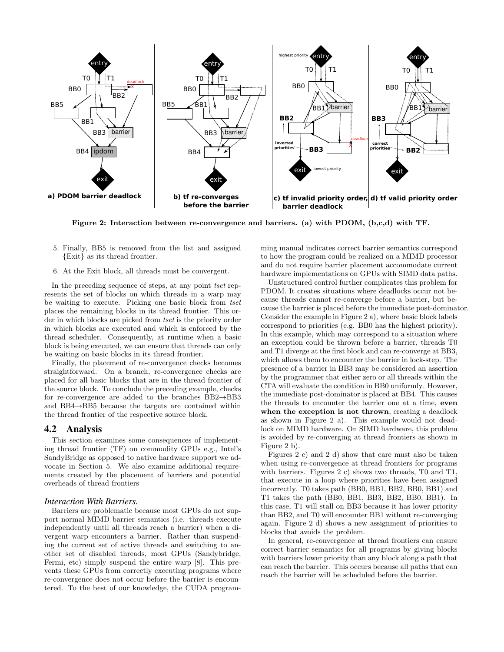

Figure 2: Interaction between re-convergence and barriers. (a) with PDOM, (b,c,d) with TF.

- 5. Finally, BB5 is removed from the list and assigned {Exit} as its thread frontier.
- 6. At the Exit block, all threads must be convergent.

In the preceding sequence of steps, at any point tset represents the set of blocks on which threads in a warp may be waiting to execute. Picking one basic block from tset places the remaining blocks in its thread frontier. This order in which blocks are picked from tset is the priority order in which blocks are executed and which is enforced by the thread scheduler. Consequently, at runtime when a basic block is being executed, we can ensure that threads can only be waiting on basic blocks in its thread frontier.

Finally, the placement of re-convergence checks becomes straightforward. On a branch, re-convergence checks are placed for all basic blocks that are in the thread frontier of the source block. To conclude the preceding example, checks for re-convergence are added to the branches BB2→BB3 and BB4→BB5 because the targets are contained within the thread frontier of the respective source block.

#### 4.2 Analysis

This section examines some consequences of implementing thread frontier (TF) on commodity GPUs e.g., Intel's SandyBridge as opposed to native hardware support we advocate in Section 5. We also examine additional requirements created by the placement of barriers and potential overheads of thread frontiers

#### *Interaction With Barriers.*

Barriers are problematic because most GPUs do not support normal MIMD barrier semantics (i.e. threads execute independently until all threads reach a barrier) when a divergent warp encounters a barrier. Rather than suspending the current set of active threads and switching to another set of disabled threads, most GPUs (Sandybridge, Fermi, etc) simply suspend the entire warp [8]. This prevents these GPUs from correctly executing programs where re-convergence does not occur before the barrier is encountered. To the best of our knowledge, the CUDA programming manual indicates correct barrier semantics correspond to how the program could be realized on a MIMD processor and do not require barrier placement accommodate current hardware implementations on GPUs with SIMD data paths.

Unstructured control further complicates this problem for PDOM. It creates situations where deadlocks occur not because threads cannot re-converge before a barrier, but because the barrier is placed before the immediate post-dominator. Consider the example in Figure 2 a), where basic block labels correspond to priorities (e.g. BB0 has the highest priority). In this example, which may correspond to a situation where an exception could be thrown before a barrier, threads T0 and T1 diverge at the first block and can re-converge at BB3, which allows them to encounter the barrier in lock-step. The presence of a barrier in BB3 may be considered an assertion by the programmer that either zero or all threads within the CTA will evaluate the condition in BB0 uniformly. However, the immediate post-dominator is placed at BB4. This causes the threads to encounter the barrier one at a time, even when the exception is not thrown, creating a deadlock as shown in Figure 2 a). This example would not deadlock on MIMD hardware. On SIMD hardware, this problem is avoided by re-converging at thread frontiers as shown in Figure 2 b).

Figures 2 c) and 2 d) show that care must also be taken when using re-convergence at thread frontiers for programs with barriers. Figures 2 c) shows two threads, T0 and T1, that execute in a loop where priorities have been assigned incorrectly. T0 takes path (BB0, BB1, BB2, BB0, BB1) and T1 takes the path (BB0, BB1, BB3, BB2, BB0, BB1). In this case, T1 will stall on BB3 because it has lower priority than BB2, and T0 will encounter BB1 without re-converging again. Figure 2 d) shows a new assignment of priorities to blocks that avoids the problem.

In general, re-convergence at thread frontiers can ensure correct barrier semantics for all programs by giving blocks with barriers lower priority than any block along a path that can reach the barrier. This occurs because all paths that can reach the barrier will be scheduled before the barrier.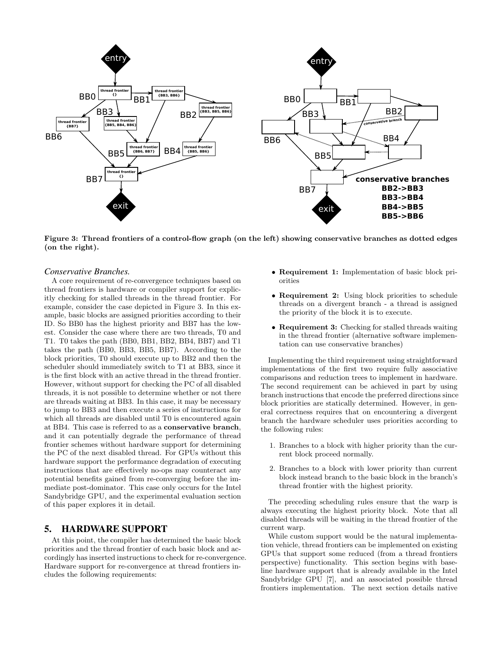

Figure 3: Thread frontiers of a control-flow graph (on the left) showing conservative branches as dotted edges (on the right).

#### *Conservative Branches.*

A core requirement of re-convergence techniques based on thread frontiers is hardware or compiler support for explicitly checking for stalled threads in the thread frontier. For example, consider the case depicted in Figure 3. In this example, basic blocks are assigned priorities according to their ID. So BB0 has the highest priority and BB7 has the lowest. Consider the case where there are two threads, T0 and T1. T0 takes the path (BB0, BB1, BB2, BB4, BB7) and T1 takes the path (BB0, BB3, BB5, BB7). According to the block priorities, T0 should execute up to BB2 and then the scheduler should immediately switch to T1 at BB3, since it is the first block with an active thread in the thread frontier. However, without support for checking the PC of all disabled threads, it is not possible to determine whether or not there are threads waiting at BB3. In this case, it may be necessary to jump to BB3 and then execute a series of instructions for which all threads are disabled until T0 is encountered again at BB4. This case is referred to as a conservative branch, and it can potentially degrade the performance of thread frontier schemes without hardware support for determining the PC of the next disabled thread. For GPUs without this hardware support the performance degradation of executing instructions that are effectively no-ops may counteract any potential benefits gained from re-converging before the immediate post-dominator. This case only occurs for the Intel Sandybridge GPU, and the experimental evaluation section of this paper explores it in detail.

# 5. HARDWARE SUPPORT

At this point, the compiler has determined the basic block priorities and the thread frontier of each basic block and accordingly has inserted instructions to check for re-convergence. Hardware support for re-convergence at thread frontiers includes the following requirements:

- Requirement 1: Implementation of basic block priorities
- Requirement 2: Using block priorities to schedule threads on a divergent branch - a thread is assigned the priority of the block it is to execute.
- Requirement 3: Checking for stalled threads waiting in the thread frontier (alternative software implementation can use conservative branches)

Implementing the third requirement using straightforward implementations of the first two require fully associative comparisons and reduction trees to implement in hardware. The second requirement can be achieved in part by using branch instructions that encode the preferred directions since block priorities are statically determined. However, in general correctness requires that on encountering a divergent branch the hardware scheduler uses priorities according to the following rules:

- 1. Branches to a block with higher priority than the current block proceed normally.
- 2. Branches to a block with lower priority than current block instead branch to the basic block in the branch's thread frontier with the highest priority.

The preceding scheduling rules ensure that the warp is always executing the highest priority block. Note that all disabled threads will be waiting in the thread frontier of the current warp.

While custom support would be the natural implementation vehicle, thread frontiers can be implemented on existing GPUs that support some reduced (from a thread frontiers perspective) functionality. This section begins with baseline hardware support that is already available in the Intel Sandybridge GPU [7], and an associated possible thread frontiers implementation. The next section details native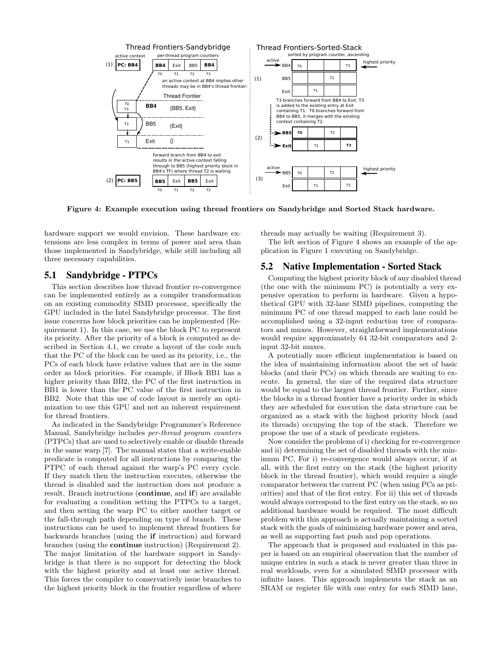

Figure 4: Example execution using thread frontiers on Sandybridge and Sorted Stack hardware.

hardware support we would envision. These hardware extensions are less complex in terms of power and area than those implemented in Sandybridge, while still including all three necessary capabilities.

## 5.1 Sandybridge - PTPCs

This section describes how thread frontier re-convergence can be implemented entirely as a compiler transformation on an existing commodity SIMD processor, specifically the GPU included in the Intel Sandybridge processor. The first issue concerns how block priorities can be implemented (Requirement 1). In this case, we use the block PC to represent its priority. After the priority of a block is computed as described in Section 4.1, we create a layout of the code such that the PC of the block can be used as its priority, i.e., the PCs of each block have relative values that are in the same order as block priorities. For example, if Block BB1 has a higher priority than BB2, the PC of the first instruction in BB1 is lower than the PC value of the first instruction in BB2. Note that this use of code layout is merely an optimization to use this GPU and not an inherent requirement for thread frontiers.

As indicated in the Sandybridge Programmer's Reference Manual, Sandybridge includes per-thread program counters (PTPCs) that are used to selectively enable or disable threads in the same warp [7]. The manual states that a write-enable predicate is computed for all instructions by comparing the PTPC of each thread against the warp's PC every cycle. If they match then the instruction executes, otherwise the thread is disabled and the instruction does not produce a result. Branch instructions (continue, and if) are available for evaluating a condition setting the PTPCs to a target, and then setting the warp PC to either another target or the fall-through path depending on type of branch. These instructions can be used to implement thread frontiers for backwards branches (using the if instruction) and forward branches (using the continue instruction) (Requirement 2). The major limitation of the hardware support in Sandybridge is that there is no support for detecting the block with the highest priority and at least one active thread. This forces the compiler to conservatively issue branches to the highest priority block in the frontier regardless of where

threads may actually be waiting (Requirement 3).

The left section of Figure 4 shows an example of the application in Figure 1 executing on Sandybridge.

# 5.2 Native Implementation - Sorted Stack

Computing the highest priority block of any disabled thread (the one with the minimum PC) is potentially a very expensive operation to perform in hardware. Given a hypothetical GPU with 32-lane SIMD pipelines, computing the minimum PC of one thread mapped to each lane could be accomplished using a 32-input reduction tree of comparators and muxes. However, straightforward implementations would require approximately 64 32-bit comparators and 2 input 32-bit muxes.

A potentially more efficient implementation is based on the idea of maintaining information about the set of basic blocks (and their PCs) on which threads are waiting to execute. In general, the size of the required data structure would be equal to the largest thread frontier. Further, since the blocks in a thread frontier have a priority order in which they are scheduled for execution the data structure can be organized as a stack with the highest priority block (and its threads) occupying the top of the stack. Therefore we propose the use of a stack of predicate registers.

Now consider the problems of i) checking for re-convergence and ii) determining the set of disabled threads with the minimum PC. For i) re-convergence would always occur, if at all, with the first entry on the stack (the highest priority block in the thread frontier), which would require a single comparator between the current PC (when using PCs as priorities) and that of the first entry. For ii) this set of threads would always correspond to the first entry on the stack, so no additional hardware would be required. The most difficult problem with this approach is actually maintaining a sorted stack with the goals of minimizing hardware power and area, as well as supporting fast push and pop operations.

The approach that is proposed and evaluated in this paper is based on an empirical observation that the number of unique entries in such a stack is never greater than three in real workloads, even for a simulated SIMD processor with infinite lanes. This approach implements the stack as an SRAM or register file with one entry for each SIMD lane,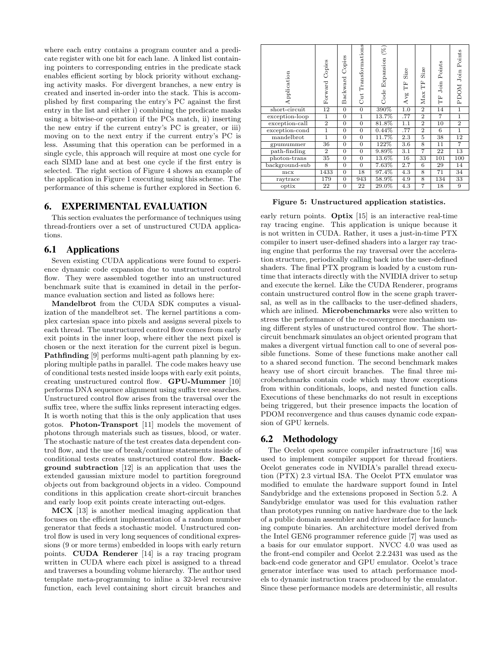where each entry contains a program counter and a predicate register with one bit for each lane. A linked list containing pointers to corresponding entries in the predicate stack enables efficient sorting by block priority without exchanging activity masks. For divergent branches, a new entry is created and inserted in-order into the stack. This is accomplished by first comparing the entry's PC against the first entry in the list and either i) combining the predicate masks using a bitwise-or operation if the PCs match, ii) inserting the new entry if the current entry's PC is greater, or iii) moving on to the next entry if the current entry's PC is less. Assuming that this operation can be performed in a single cycle, this approach will require at most one cycle for each SIMD lane and at best one cycle if the first entry is selected. The right section of Figure 4 shows an example of the application in Figure 1 executing using this scheme. The performance of this scheme is further explored in Section 6.

## 6. EXPERIMENTAL EVALUATION

This section evaluates the performance of techniques using thread-frontiers over a set of unstructured CUDA applications.

## 6.1 Applications

Seven existing CUDA applications were found to experience dynamic code expansion due to unstructured control flow. They were assembled together into an unstructured benchmark suite that is examined in detail in the performance evaluation section and listed as follows here:

Mandelbrot from the CUDA SDK computes a visualization of the mandelbrot set. The kernel partitions a complex cartesian space into pixels and assigns several pixels to each thread. The unstructured control flow comes from early exit points in the inner loop, where either the next pixel is chosen or the next iteration for the current pixel is begun. Pathfinding [9] performs multi-agent path planning by exploring multiple paths in parallel. The code makes heavy use of conditional tests nested inside loops with early exit points, creating unstructured control flow. GPU-Mummer [10] performs DNA sequence alignment using suffix tree searches. Unstructured control flow arises from the traversal over the suffix tree, where the suffix links represent interacting edges. It is worth noting that this is the only application that uses gotos. Photon-Transport [11] models the movement of photons through materials such as tissues, blood, or water. The stochastic nature of the test creates data dependent control flow, and the use of break/continue statements inside of conditional tests creates unstructured control flow. Background subtraction [12] is an application that uses the extended gaussian mixture model to partition foreground objects out from background objects in a video. Compound conditions in this application create short-circuit branches and early loop exit points create interacting out-edges.

MCX [13] is another medical imaging application that focuses on the efficient implementation of a random number generator that feeds a stochastic model. Unstructured control flow is used in very long sequences of conditional expressions (9 or more terms) embedded in loops with early return points. CUDA Renderer [14] is a ray tracing program written in CUDA where each pixel is assigned to a thread and traverses a bounding volume hierarchy. The author used template meta-programming to inline a 32-level recursive function, each level containing short circuit branches and

| Application                  | Copies<br>Forward | Copies<br>Backward | Cut Transformations | $(\%)$<br>Expansion<br>Code | Size<br>Ë<br>Avg | Size<br>Ë<br>Max | Points<br>Join<br>Ë | $_{\rm Points}$<br>Join<br><b>NOUA</b> |
|------------------------------|-------------------|--------------------|---------------------|-----------------------------|------------------|------------------|---------------------|----------------------------------------|
| short-circuit                | 12                | $\overline{0}$     | $\mathbf{0}$        | 390%                        | 1.0              | $\overline{2}$   | 14                  | $\mathbf{1}$                           |
| exception-loop               | $\overline{1}$    | $\overline{0}$     | $\overline{1}$      | 13.7%                       | .77              | $\overline{2}$   | 7                   | $\overline{1}$                         |
| $exc$ <sub>eption-call</sub> | $\overline{2}$    | $\overline{0}$     | $\overline{0}$      | 81.8%                       | 1.1              | $\overline{2}$   | 10                  | $\overline{2}$                         |
| exception-cond               | 1                 | $\overline{0}$     | $\overline{0}$      | $0.44\%$                    | .77              | $\overline{2}$   | $\overline{6}$      | $\overline{1}$                         |
| mandelbrot                   | $\mathbf{1}$      | $\overline{0}$     | $\overline{0}$      | 11.7%                       | 2.3              | 5                | 38                  | 12                                     |
| gpumummer                    | 36                | $\overline{0}$     | $\overline{0}$      | 122%                        | 3.6              | 8                | 11                  | 7                                      |
| path-finding                 | $\overline{2}$    | $\overline{0}$     | $\overline{0}$      | $9.89\%$                    | 3.1              | 7                | 22                  | 13                                     |
| photon-trans                 | 35                | $\overline{0}$     | $\overline{0}$      | 13.6%                       | 16               | 33               | 101                 | 100                                    |
| background-sub               | $\overline{8}$    | $\overline{0}$     | $\overline{0}$      | 7.63%                       | 2.7              | 6                | 29                  | 14                                     |
| mcx                          | 1433              | $\overline{0}$     | 18                  | 97.4%                       | 4.3              | 8                | 71                  | 34                                     |
| raytrace                     | 179               | $\overline{0}$     | 943                 | 58.9%                       | 4.9              | $\overline{8}$   | 134                 | $\overline{33}$                        |
| optix                        | 22                | $\overline{0}$     | 22                  | 29.0%                       | 4.3              | 7                | 18                  | 9                                      |

Figure 5: Unstructured application statistics.

early return points. Optix [15] is an interactive real-time ray tracing engine. This application is unique because it is not written in CUDA. Rather, it uses a just-in-time PTX compiler to insert user-defined shaders into a larger ray tracing engine that performs the ray traversal over the acceleration structure, periodically calling back into the user-defined shaders. The final PTX program is loaded by a custom runtime that interacts directly with the NVIDIA driver to setup and execute the kernel. Like the CUDA Renderer, programs contain unstructured control flow in the scene graph traversal, as well as in the callbacks to the user-defined shaders, which are inlined. Microbenchmarks were also written to stress the performance of the re-convergence mechanism using different styles of unstructured control flow. The shortcircuit benchmark simulates an object oriented program that makes a divergent virtual function call to one of several possible functions. Some of these functions make another call to a shared second function. The second benchmark makes heavy use of short circuit branches. The final three microbenchmarks contain code which may throw exceptions from within conditionals, loops, and nested function calls. Executions of these benchmarks do not result in exceptions being triggered, but their presence impacts the location of PDOM reconvergence and thus causes dynamic code expansion of GPU kernels.

## 6.2 Methodology

The Ocelot open source compiler infrastructure [16] was used to implement compiler support for thread frontiers. Ocelot generates code in NVIDIA's parallel thread execution (PTX) 2.3 virtual ISA. The Ocelot PTX emulator was modified to emulate the hardware support found in Intel Sandybridge and the extensions proposed in Section 5.2. A Sandybridge emulator was used for this evaluation rather than prototypes running on native hardware due to the lack of a public domain assembler and driver interface for launching compute binaries. An architecture model derived from the Intel GEN6 programmer reference guide [7] was used as a basis for our emulator support. NVCC 4.0 was used as the front-end compiler and Ocelot 2.2.2431 was used as the back-end code generator and GPU emulator. Ocelot's trace generator interface was used to attach performance models to dynamic instruction traces produced by the emulator. Since these performance models are deterministic, all results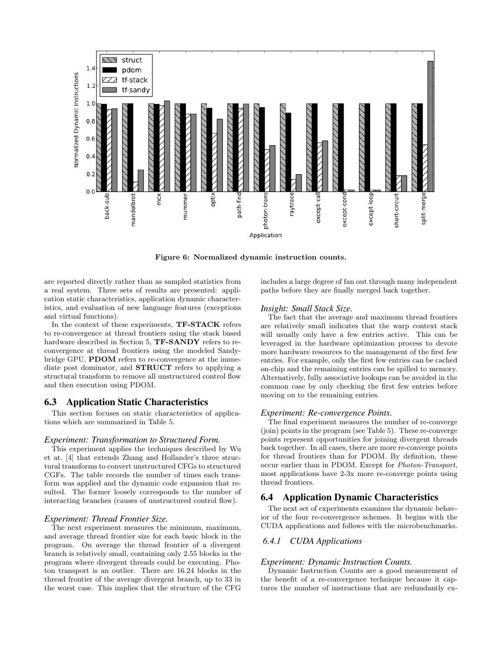

Figure 6: Normalized dynamic instruction counts.

are reported directly rather than as sampled statistics from a real system. Three sets of results are presented: application static characteristics, application dynamic characteristics, and evaluation of new language features (exceptions and virtual functions).

In the context of these experiments, TF-STACK refers to re-convergence at thread frontiers using the stack based hardware described in Section 5, **TF-SANDY** refers to reconvergence at thread frontiers using the modeled Sandybridge GPU, PDOM refers to re-convergence at the immediate post dominator, and STRUCT refers to applying a structural transform to remove all unstructured control flow and then execution using PDOM.

## 6.3 Application Static Characteristics

This section focuses on static characteristics of applications which are summarized in Table 5.

#### *Experiment: Transformation to Structured Form.*

This experiment applies the techniques described by Wu et at. [4] that extends Zhang and Hollander's three structural transforms to convert unstructured CFGs to structured CGFs. The table records the number of times each transform was applied and the dynamic code expansion that resulted. The former loosely corresponds to the number of interacting branches (causes of unstructured control flow).

#### *Experiment: Thread Frontier Size.*

The next experiment measures the minimum, maximum, and average thread frontier size for each basic block in the program. On average the thread frontier of a divergent branch is relatively small, containing only 2.55 blocks in the program where divergent threads could be executing. Photon transport is an outlier. There are 16.24 blocks in the thread frontier of the average divergent branch, up to 33 in the worst case. This implies that the structure of the CFG includes a large degree of fan out through many independent paths before they are finally merged back together.

#### *Insight: Small Stack Size.*

The fact that the average and maximum thread frontiers are relatively small indicates that the warp context stack will usually only have a few entries active. This can be leveraged in the hardware optimization process to devote more hardware resources to the management of the first few entries. For example, only the first few entries can be cached on-chip and the remaining entries can be spilled to memory. Alternatively, fully associative lookups can be avoided in the common case by only checking the first few entries before moving on to the remaining entries.

#### *Experiment: Re-convergence Points.*

The final experiment measures the number of re-converge (join) points in the program (see Table 5). These re-converge points represent opportunities for joining divergent threads back together. In all cases, there are more re-converge points for thread frontiers than for PDOM. By definition, these occur earlier than in PDOM. Except for Photon-Transport, most applications have 2-3x more re-converge points using thread frontiers.

## 6.4 Application Dynamic Characteristics

The next set of experiments examines the dynamic behavior of the four re-convergence schemes. It begins with the CUDA applications and follows with the microbenchmarks.

## *6.4.1 CUDA Applications*

#### *Experiment: Dynamic Instruction Counts.*

Dynamic Instruction Counts are a good measurement of the benefit of a re-convergence technique because it captures the number of instructions that are redundantly ex-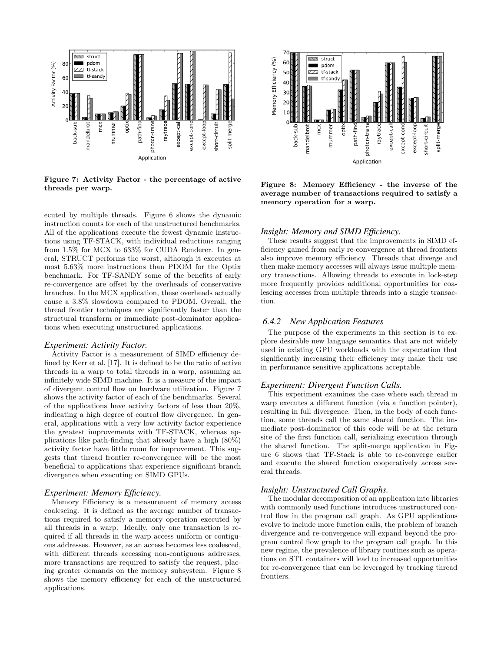

Figure 7: Activity Factor - the percentage of active threads per warp.

ecuted by multiple threads. Figure 6 shows the dynamic instruction counts for each of the unstructured benchmarks. All of the applications execute the fewest dynamic instructions using TF-STACK, with individual reductions ranging from 1.5% for MCX to 633% for CUDA Renderer. In general, STRUCT performs the worst, although it executes at most 5.63% more instructions than PDOM for the Optix benchmark. For TF-SANDY some of the benefits of early re-convergence are offset by the overheads of conservative branches. In the MCX application, these overheads actually cause a 3.8% slowdown compared to PDOM. Overall, the thread frontier techniques are significantly faster than the structural transform or immediate post-dominator applications when executing unstructured applications.

#### *Experiment: Activity Factor.*

Activity Factor is a measurement of SIMD efficiency defined by Kerr et al. [17]. It is defined to be the ratio of active threads in a warp to total threads in a warp, assuming an infinitely wide SIMD machine. It is a measure of the impact of divergent control flow on hardware utilization. Figure 7 shows the activity factor of each of the benchmarks. Several of the applications have activity factors of less than 20%, indicating a high degree of control flow divergence. In general, applications with a very low activity factor experience the greatest improvements with TF-STACK, whereas applications like path-finding that already have a high (80%) activity factor have little room for improvement. This suggests that thread frontier re-convergence will be the most beneficial to applications that experience significant branch divergence when executing on SIMD GPUs.

#### *Experiment: Memory Efficiency.*

Memory Efficiency is a measurement of memory access coalescing. It is defined as the average number of transactions required to satisfy a memory operation executed by all threads in a warp. Ideally, only one transaction is required if all threads in the warp access uniform or contiguous addresses. However, as an access becomes less coalesced, with different threads accessing non-contiguous addresses, more transactions are required to satisfy the request, placing greater demands on the memory subsystem. Figure 8 shows the memory efficiency for each of the unstructured applications.



Figure 8: Memory Efficiency - the inverse of the average number of transactions required to satisfy a memory operation for a warp.

#### *Insight: Memory and SIMD Efficiency.*

These results suggest that the improvements in SIMD efficiency gained from early re-convergence at thread frontiers also improve memory efficiency. Threads that diverge and then make memory accesses will always issue multiple memory transactions. Allowing threads to execute in lock-step more frequently provides additional opportunities for coalescing accesses from multiple threads into a single transaction.

#### *6.4.2 New Application Features*

The purpose of the experiments in this section is to explore desirable new language semantics that are not widely used in existing GPU workloads with the expectation that significantly increasing their efficiency may make their use in performance sensitive applications acceptable.

#### *Experiment: Divergent Function Calls.*

This experiment examines the case where each thread in warp executes a different function (via a function pointer), resulting in full divergence. Then, in the body of each function, some threads call the same shared function. The immediate post-dominator of this code will be at the return site of the first function call, serializing execution through the shared function. The split-merge application in Figure 6 shows that TF-Stack is able to re-converge earlier and execute the shared function cooperatively across several threads.

#### *Insight: Unstructured Call Graphs.*

The modular decomposition of an application into libraries with commonly used functions introduces unstructured control flow in the program call graph. As GPU applications evolve to include more function calls, the problem of branch divergence and re-convergence will expand beyond the program control flow graph to the program call graph. In this new regime, the prevalence of library routines such as operations on STL containers will lead to increased opportunities for re-convergence that can be leveraged by tracking thread frontiers.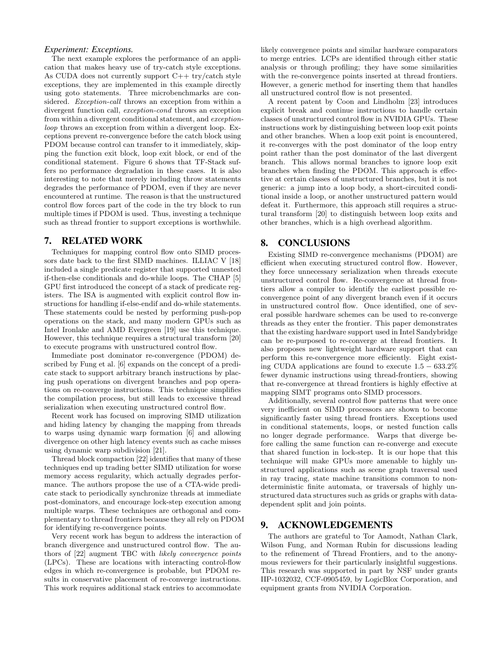#### *Experiment: Exceptions.*

The next example explores the performance of an application that makes heavy use of try-catch style exceptions. As CUDA does not currently support  $C++$  try/catch style exceptions, they are implemented in this example directly using goto statements. Three microbenchmarks are considered. *Exception-call* throws an exception from within a divergent function call, exception-cond throws an exception from within a divergent conditional statement, and exceptionloop throws an exception from within a divergent loop. Exceptions prevent re-convergence before the catch block using PDOM because control can transfer to it immediately, skipping the function exit block, loop exit block, or end of the conditional statement. Figure 6 shows that TF-Stack suffers no performance degradation in these cases. It is also interesting to note that merely including throw statements degrades the performance of PDOM, even if they are never encountered at runtime. The reason is that the unstructured control flow forces part of the code in the try block to run multiple times if PDOM is used. Thus, investing a technique such as thread frontier to support exceptions is worthwhile.

## 7. RELATED WORK

Techniques for mapping control flow onto SIMD processors date back to the first SIMD machines. ILLIAC V [18] included a single predicate register that supported unnested if-then-else conditionals and do-while loops. The CHAP [5] GPU first introduced the concept of a stack of predicate registers. The ISA is augmented with explicit control flow instructions for handling if-else-endif and do-while statements. These statements could be nested by performing push-pop operations on the stack, and many modern GPUs such as Intel Ironlake and AMD Evergreen [19] use this technique. However, this technique requires a structural transform [20] to execute programs with unstructured control flow.

Immediate post dominator re-convergence (PDOM) described by Fung et al. [6] expands on the concept of a predicate stack to support arbitrary branch instructions by placing push operations on divergent branches and pop operations on re-converge instructions. This technique simplifies the compilation process, but still leads to excessive thread serialization when executing unstructured control flow.

Recent work has focused on improving SIMD utilization and hiding latency by changing the mapping from threads to warps using dynamic warp formation [6] and allowing divergence on other high latency events such as cache misses using dynamic warp subdivision [21].

Thread block compaction [22] identifies that many of these techniques end up trading better SIMD utilization for worse memory access regularity, which actually degrades performance. The authors propose the use of a CTA-wide predicate stack to periodically synchronize threads at immediate post-dominators, and encourage lock-step execution among multiple warps. These techniques are orthogonal and complementary to thread frontiers because they all rely on PDOM for identifying re-convergence points.

Very recent work has begun to address the interaction of branch divergence and unstructured control flow. The authors of [22] augment TBC with likely convergence points (LPCs). These are locations with interacting control-flow edges in which re-convergence is probable, but PDOM results in conservative placement of re-converge instructions. This work requires additional stack entries to accommodate likely convergence points and similar hardware comparators to merge entries. LCPs are identified through either static analysis or through profiling; they have some similarities with the re-convergence points inserted at thread frontiers. However, a generic method for inserting them that handles all unstructured control flow is not presented.

A recent patent by Coon and Lindholm [23] introduces explicit break and continue instructions to handle certain classes of unstructured control flow in NVIDIA GPUs. These instructions work by distinguishing between loop exit points and other branches. When a loop exit point is encountered, it re-converges with the post dominator of the loop entry point rather than the post dominator of the last divergent branch. This allows normal branches to ignore loop exit branches when finding the PDOM. This approach is effective at certain classes of unstructured branches, but it is not generic: a jump into a loop body, a short-circuited conditional inside a loop, or another unstructured pattern would defeat it. Furthermore, this approach still requires a structural transform [20] to distinguish between loop exits and other branches, which is a high overhead algorithm.

## 8. CONCLUSIONS

Existing SIMD re-convergence mechanisms (PDOM) are efficient when executing structured control flow. However, they force unnecessary serialization when threads execute unstructured control flow. Re-convergence at thread frontiers allow a compiler to identify the earliest possible reconvergence point of any divergent branch even if it occurs in unstructured control flow. Once identified, one of several possible hardware schemes can be used to re-converge threads as they enter the frontier. This paper demonstrates that the existing hardware support used in Intel Sandybridge can be re-purposed to re-converge at thread frontiers. It also proposes new lightweight hardware support that can perform this re-convergence more efficiently. Eight existing CUDA applications are found to execute  $1.5 - 633.2\%$ fewer dynamic instructions using thread-frontiers, showing that re-convergence at thread frontiers is highly effective at mapping SIMT programs onto SIMD processors.

Additionally, several control flow patterns that were once very inefficient on SIMD processors are shown to become significantly faster using thread frontiers. Exceptions used in conditional statements, loops, or nested function calls no longer degrade performance. Warps that diverge before calling the same function can re-converge and execute that shared function in lock-step. It is our hope that this technique will make GPUs more amenable to highly unstructured applications such as scene graph traversal used in ray tracing, state machine transitions common to nondeterministic finite automata, or traversals of highly unstructured data structures such as grids or graphs with datadependent split and join points.

## 9. ACKNOWLEDGEMENTS

The authors are grateful to Tor Aamodt, Nathan Clark, Wilson Fung, and Norman Rubin for discussions leading to the refinement of Thread Frontiers, and to the anonymous reviewers for their particularly insightful suggestions. This research was supported in part by NSF under grants IIP-1032032, CCF-0905459, by LogicBlox Corporation, and equipment grants from NVIDIA Corporation.